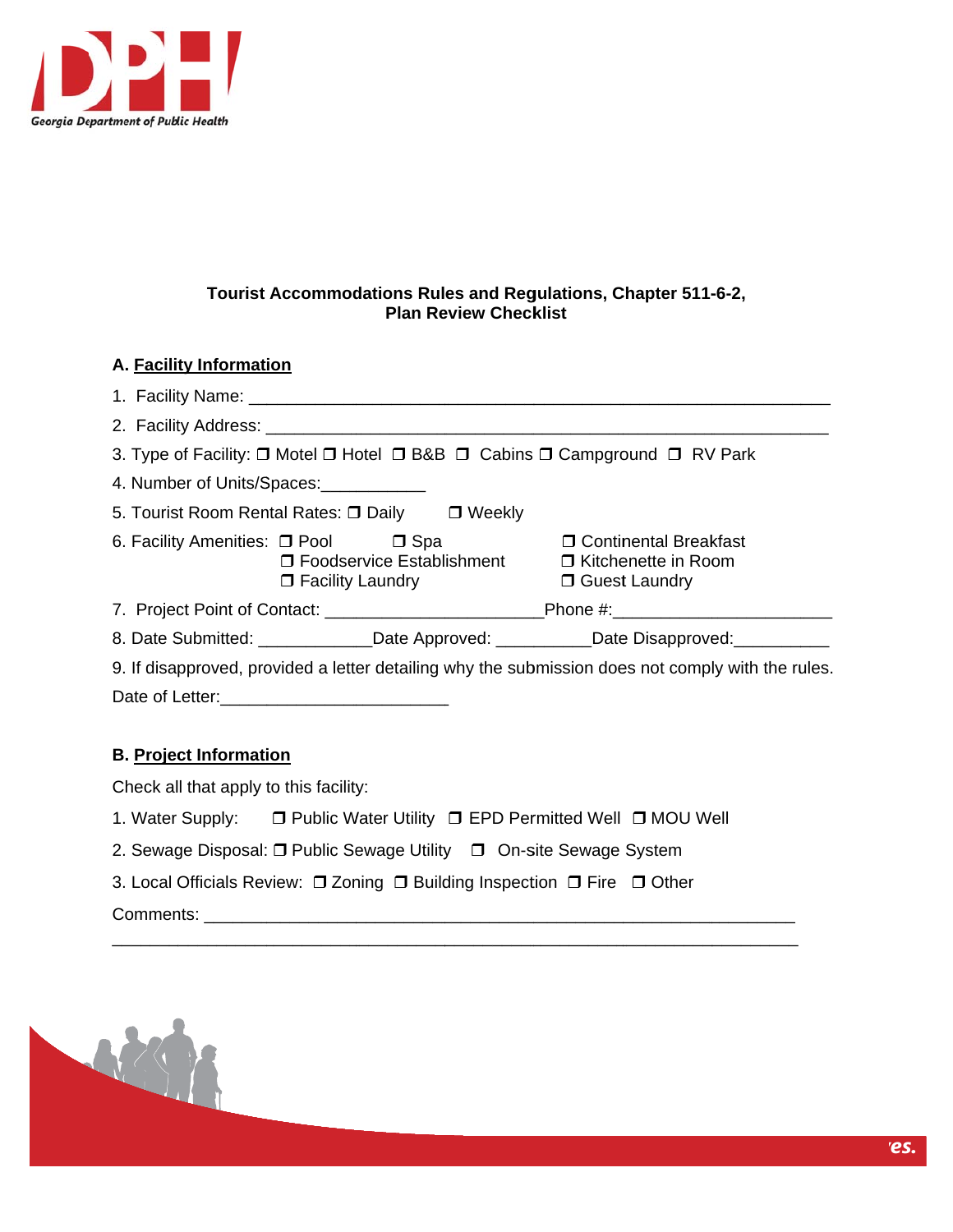

# **A.** Facility Information

|                                                                                                   |                         |  | 3. Type of Facility: □ Motel □ Hotel □ B&B □ Cabins □ Campground □ RV Park                             |  |
|---------------------------------------------------------------------------------------------------|-------------------------|--|--------------------------------------------------------------------------------------------------------|--|
| 4. Number of Units/Spaces:                                                                        |                         |  |                                                                                                        |  |
| 5. Tourist Room Rental Rates: $\Box$ Daily $\Box$ Weekly                                          |                         |  |                                                                                                        |  |
| 6. Facility Amenities: □ Pool □ Spa                                                               | $\Box$ Facility Laundry |  | □ Continental Breakfast<br>□ Foodservice Establishment □ Kitchenette in Room<br><b>D</b> Guest Laundry |  |
|                                                                                                   |                         |  | 7. Project Point of Contact: _________________________________Phone #:______________________________   |  |
|                                                                                                   |                         |  | 8. Date Submitted: ______________Date Approved: ____________Date Disapproved: __________               |  |
| 9. If disapproved, provided a letter detailing why the submission does not comply with the rules. |                         |  |                                                                                                        |  |
|                                                                                                   |                         |  |                                                                                                        |  |

# **B.** Project Information

Check all that apply to this facility:

- 1. Water Supply: □ Public Water Utility □ EPD Permitted Well □ MOU Well
- 2. Sewage Disposal: □ Public Sewage Utility □ On-site Sewage System
- 3. Local Officials Review: □ Zoning □ Building Inspection □ Fire □ Other

\_\_\_\_\_\_\_\_\_\_\_

\_\_\_\_\_\_\_\_\_\_\_

\_\_\_\_\_\_\_\_\_\_

\_\_\_\_\_\_\_\_\_\_\_ \_\_\_\_\_\_\_\_\_\_

\_\_\_\_\_\_\_\_\_ \_\_\_\_\_\_\_\_\_\_

Commen nts: \_\_\_\_\_\_\_ \_\_\_\_\_\_\_\_\_\_ \_\_\_\_\_\_\_\_\_\_\_ \_\_\_\_\_\_\_\_\_\_ \_\_\_\_\_\_\_\_\_\_

\_\_\_\_\_\_\_



\_\_\_\_\_\_\_\_\_\_\_

\_\_\_\_\_\_\_\_\_\_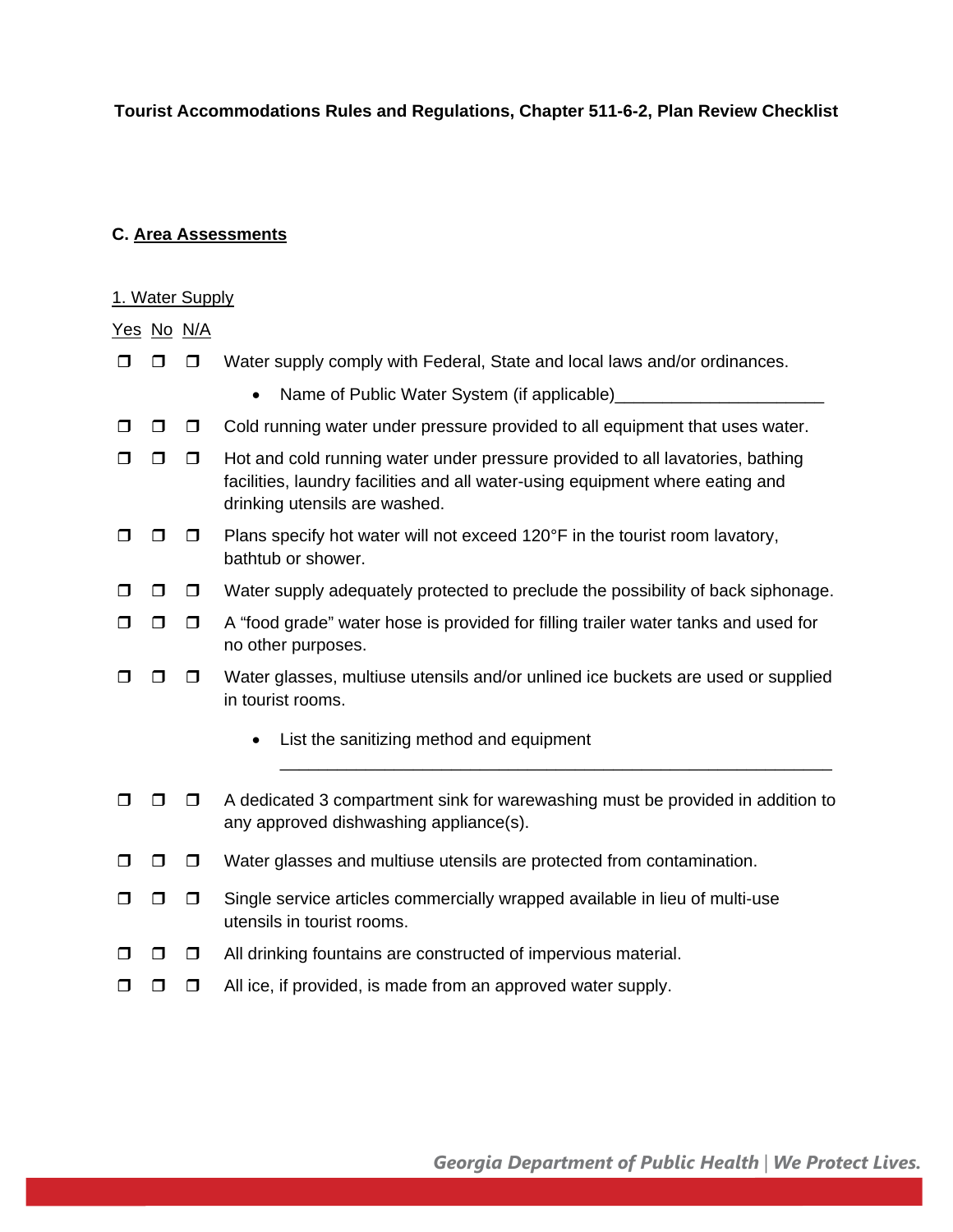#### **C. Area Assessments**

#### 1. Water Supply

Yes No N/A

- $\Box$   $\Box$  Water supply comply with Federal, State and local laws and/or ordinances.
	- Name of Public Water System (if applicable)
- $\Box$   $\Box$   $\Box$  Cold running water under pressure provided to all equipment that uses water.
- $\Box$   $\Box$  Hot and cold running water under pressure provided to all lavatories, bathing facilities, laundry facilities and all water-using equipment where eating and drinking utensils are washed.
- $\Box$   $\Box$  Plans specify hot water will not exceed 120°F in the tourist room lavatory, bathtub or shower.
- $\Box$   $\Box$  Water supply adequately protected to preclude the possibility of back siphonage.
- $\Box$   $\Box$  A "food grade" water hose is provided for filling trailer water tanks and used for no other purposes.
- $\Box$   $\Box$  Water glasses, multiuse utensils and/or unlined ice buckets are used or supplied in tourist rooms.
	- List the sanitizing method and equipment
- $\Box$   $\Box$  A dedicated 3 compartment sink for warewashing must be provided in addition to any approved dishwashing appliance(s).

\_\_\_\_\_\_\_\_\_\_\_\_\_\_\_\_\_\_\_\_\_\_\_\_\_\_\_\_\_\_\_\_\_\_\_\_\_\_\_\_\_\_\_\_\_\_\_\_\_\_\_\_\_\_\_\_\_\_

- $\Box$   $\Box$  Water glasses and multiuse utensils are protected from contamination.
- $\Box$   $\Box$  Single service articles commercially wrapped available in lieu of multi-use utensils in tourist rooms.
- $\Box$   $\Box$  All drinking fountains are constructed of impervious material.
- $\Box$   $\Box$   $\Box$  All ice, if provided, is made from an approved water supply.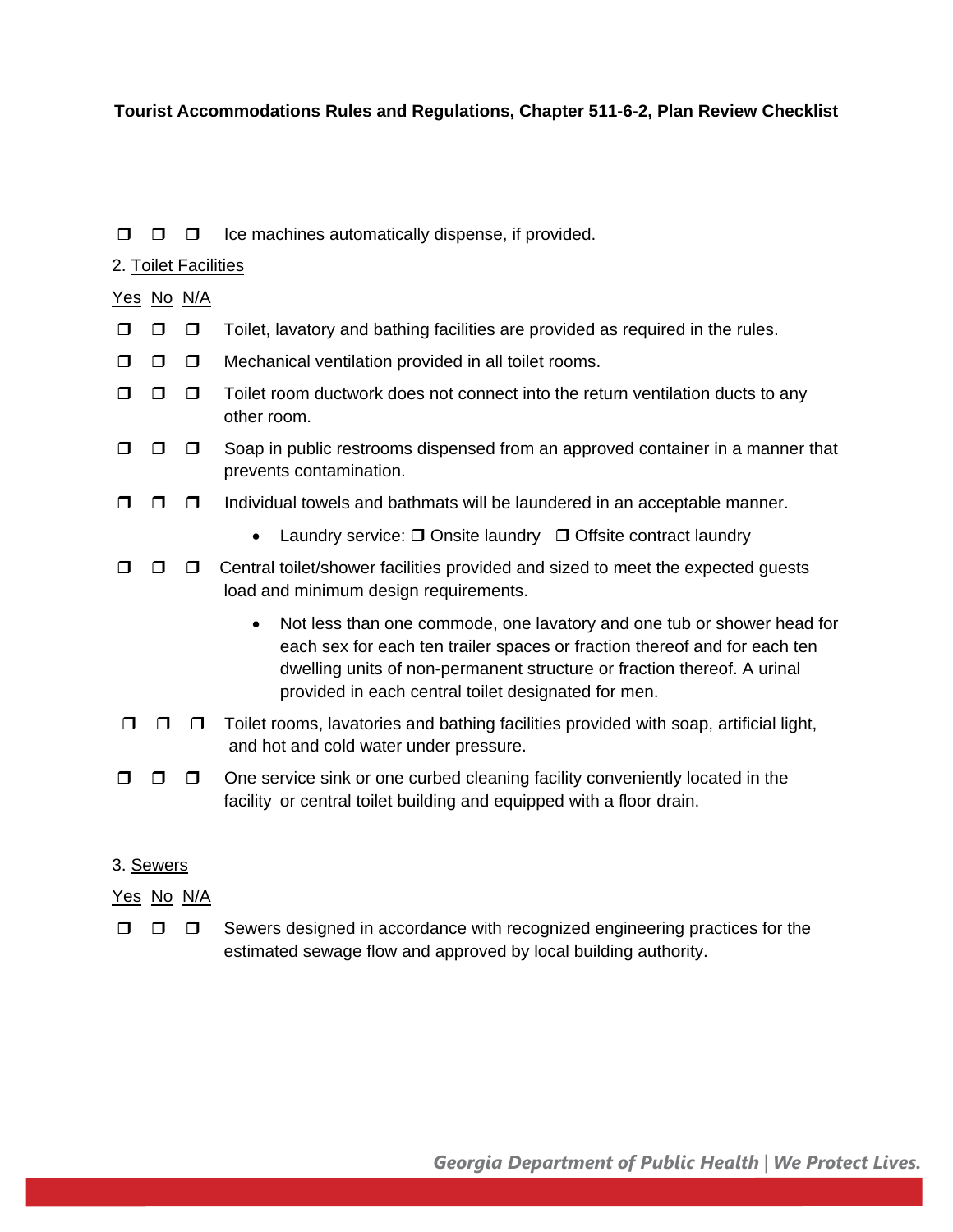#### $\Box$   $\Box$  Ice machines automatically dispense, if provided.

#### 2. Toilet Facilities

#### Yes No N/A

- $\Box$   $\Box$   $\Box$  Toilet, lavatory and bathing facilities are provided as required in the rules.
- $\Box$   $\Box$  Mechanical ventilation provided in all toilet rooms.
- $\Box$   $\Box$   $\Box$  Toilet room ductwork does not connect into the return ventilation ducts to any other room.
- $\Box$   $\Box$  Soap in public restrooms dispensed from an approved container in a manner that prevents contamination.
- $\Box$   $\Box$  Individual towels and bathmats will be laundered in an acceptable manner.
	- Laundry service:  $\Box$  Onsite laundry  $\Box$  Offsite contract laundry
- $\Box$   $\Box$   $\Box$  Central toilet/shower facilities provided and sized to meet the expected quests load and minimum design requirements.
	- Not less than one commode, one lavatory and one tub or shower head for each sex for each ten trailer spaces or fraction thereof and for each ten dwelling units of non-permanent structure or fraction thereof. A urinal provided in each central toilet designated for men.
- $\Box$   $\Box$  Toilet rooms, lavatories and bathing facilities provided with soap, artificial light, and hot and cold water under pressure.
- $\Box$   $\Box$   $\Box$  One service sink or one curbed cleaning facility conveniently located in the facility or central toilet building and equipped with a floor drain.

# 3. Sewers

# Yes No N/A

 $\Box$   $\Box$  Sewers designed in accordance with recognized engineering practices for the estimated sewage flow and approved by local building authority.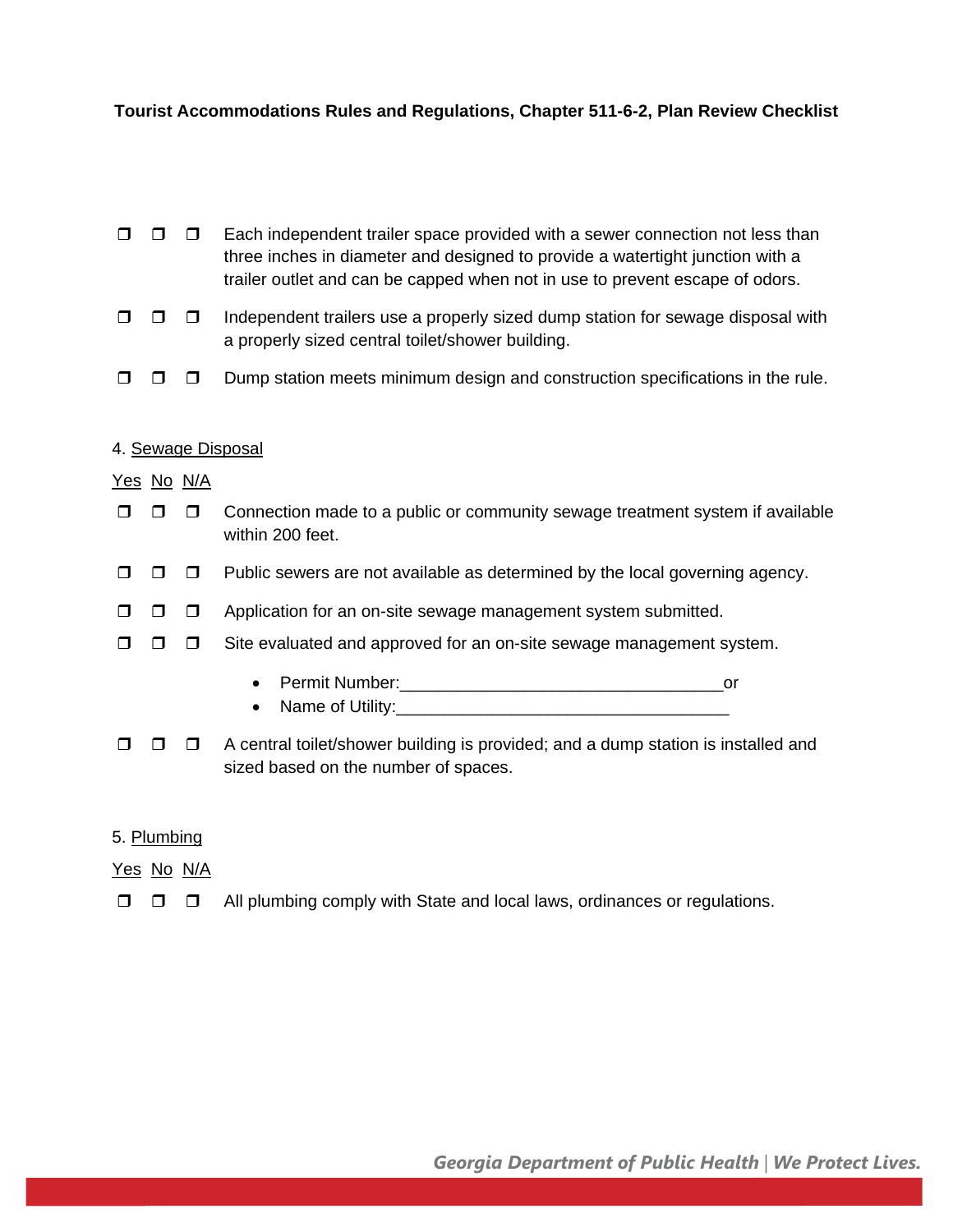| ⊓ | $\Box$            | Each independent trailer space provided with a sewer connection not less than<br>three inches in diameter and designed to provide a watertight junction with a<br>trailer outlet and can be capped when not in use to prevent escape of odors. |
|---|-------------------|------------------------------------------------------------------------------------------------------------------------------------------------------------------------------------------------------------------------------------------------|
|   | П                 | Independent trailers use a properly sized dump station for sewage disposal with<br>a properly sized central toilet/shower building.                                                                                                            |
|   | □                 | Dump station meets minimum design and construction specifications in the rule.                                                                                                                                                                 |
|   | <u>Yes_No_N/A</u> | 4. Sewage Disposal                                                                                                                                                                                                                             |
|   | $\Box$            | Connection made to a public or community sewage treatment system if available<br>within 200 feet.                                                                                                                                              |
|   | ⊓                 | Public sewers are not available as determined by the local governing agency.                                                                                                                                                                   |
| ⊓ | $\Box$            | Application for an on-site sewage management system submitted.                                                                                                                                                                                 |
| П | □                 | Site evaluated and approved for an on-site sewage management system.                                                                                                                                                                           |
|   |                   | or<br>$\bullet$<br>$\bullet$                                                                                                                                                                                                                   |
| П | □                 | A central toilet/shower building is provided; and a dump station is installed and<br>sized based on the number of spaces.                                                                                                                      |
|   |                   |                                                                                                                                                                                                                                                |

# 5. Plumbing

Yes No N/A

All plumbing comply with State and local laws, ordinances or regulations.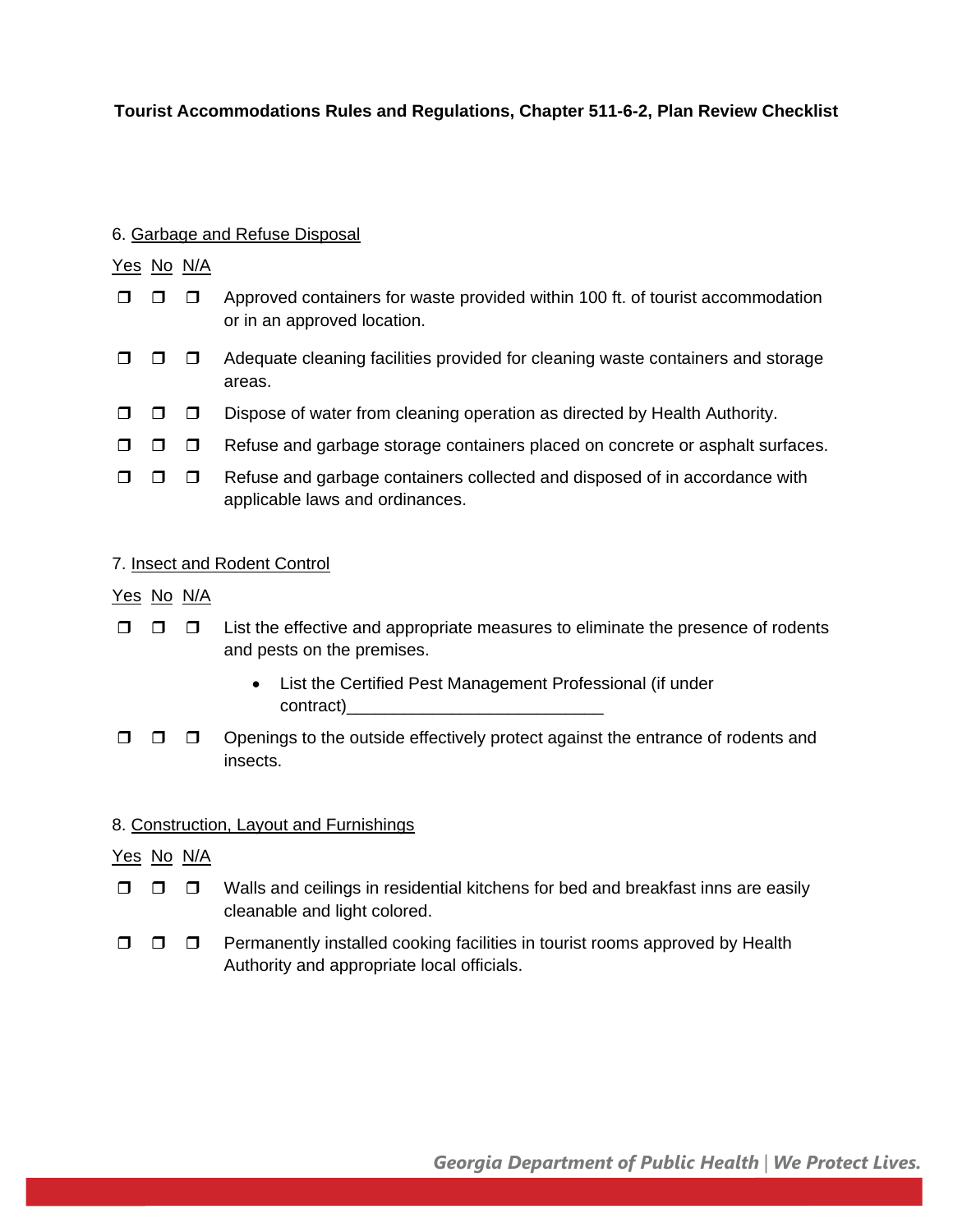#### 6. Garbage and Refuse Disposal

# Yes No N/A

- $\Box$   $\Box$  Approved containers for waste provided within 100 ft. of tourist accommodation or in an approved location.
- $\Box$   $\Box$  Adequate cleaning facilities provided for cleaning waste containers and storage areas.
- $\Box$   $\Box$  Dispose of water from cleaning operation as directed by Health Authority.
- $\Box$   $\Box$  Refuse and garbage storage containers placed on concrete or asphalt surfaces.
- $\Box$   $\Box$  Refuse and garbage containers collected and disposed of in accordance with applicable laws and ordinances.

# 7. Insect and Rodent Control

#### Yes No N/A

- $\Box$   $\Box$  List the effective and appropriate measures to eliminate the presence of rodents and pests on the premises.
	- List the Certified Pest Management Professional (if under contract)
- $\Box$   $\Box$   $\Box$  Openings to the outside effectively protect against the entrance of rodents and insects.

# 8. Construction, Layout and Furnishings

# Yes No N/A

- $\Box$   $\Box$   $\Box$  Walls and ceilings in residential kitchens for bed and breakfast inns are easily cleanable and light colored.
- $\Box$   $\Box$  Permanently installed cooking facilities in tourist rooms approved by Health Authority and appropriate local officials.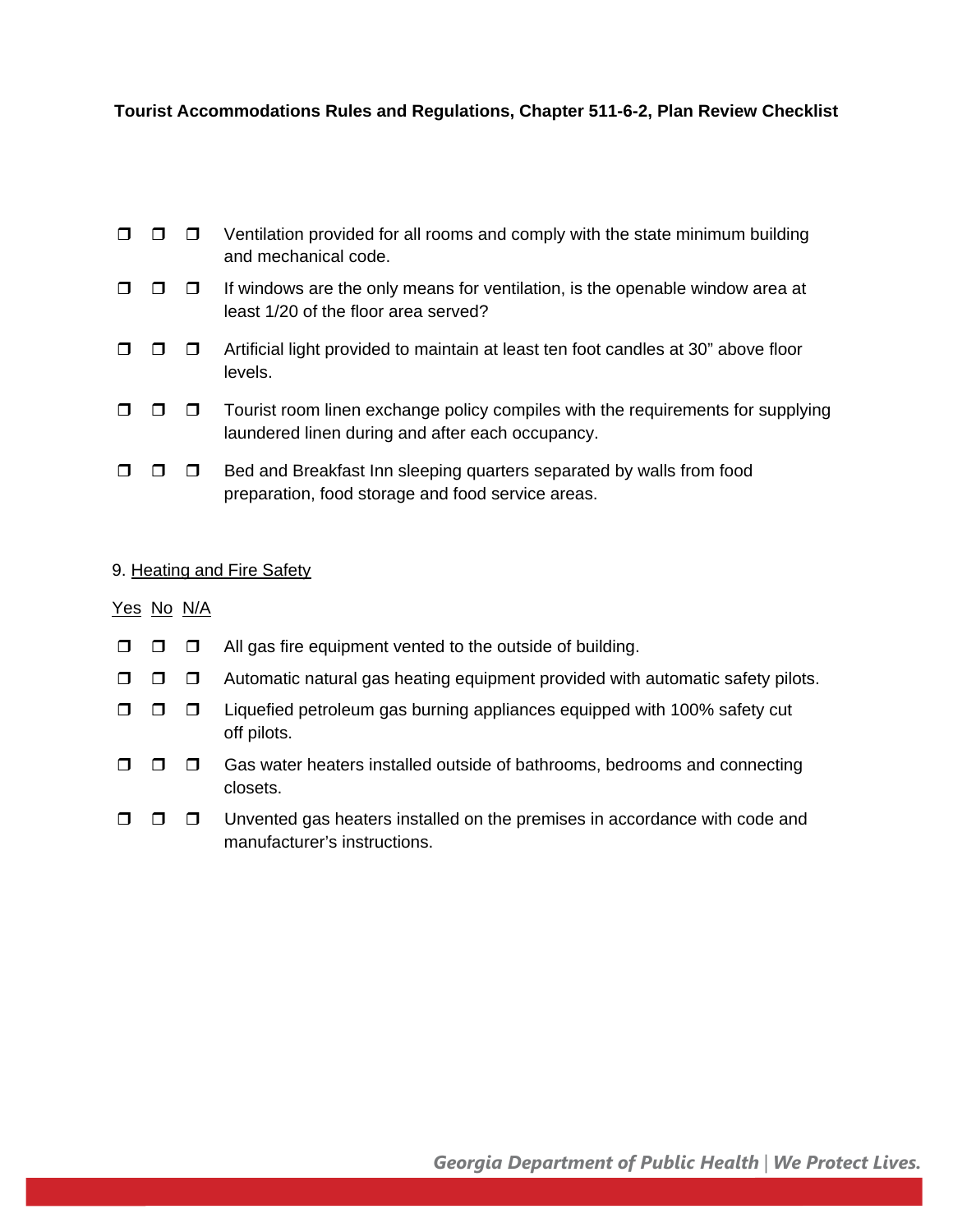|  | $\Box$ $\Box$ Ventilation provided for all rooms and comply with the state minimum building |
|--|---------------------------------------------------------------------------------------------|
|  | and mechanical code.                                                                        |

- $\Box$   $\Box$  If windows are the only means for ventilation, is the openable window area at least 1/20 of the floor area served?
- $\Box$   $\Box$  Artificial light provided to maintain at least ten foot candles at 30" above floor levels.
- $\Box$   $\Box$   $\Box$  Tourist room linen exchange policy compiles with the requirements for supplying laundered linen during and after each occupancy.
- $\Box$   $\Box$  Bed and Breakfast Inn sleeping quarters separated by walls from food preparation, food storage and food service areas.

#### 9. Heating and Fire Safety

#### Yes No N/A

- $\Box$   $\Box$  All gas fire equipment vented to the outside of building.
- $\Box$   $\Box$  Automatic natural gas heating equipment provided with automatic safety pilots.
- $\Box$   $\Box$   $\Box$  Liquefied petroleum gas burning appliances equipped with 100% safety cut off pilots.
- $\Box$   $\Box$   $\Box$  Gas water heaters installed outside of bathrooms, bedrooms and connecting closets.
- $\Box$   $\Box$   $\Box$  Unvented gas heaters installed on the premises in accordance with code and manufacturer's instructions.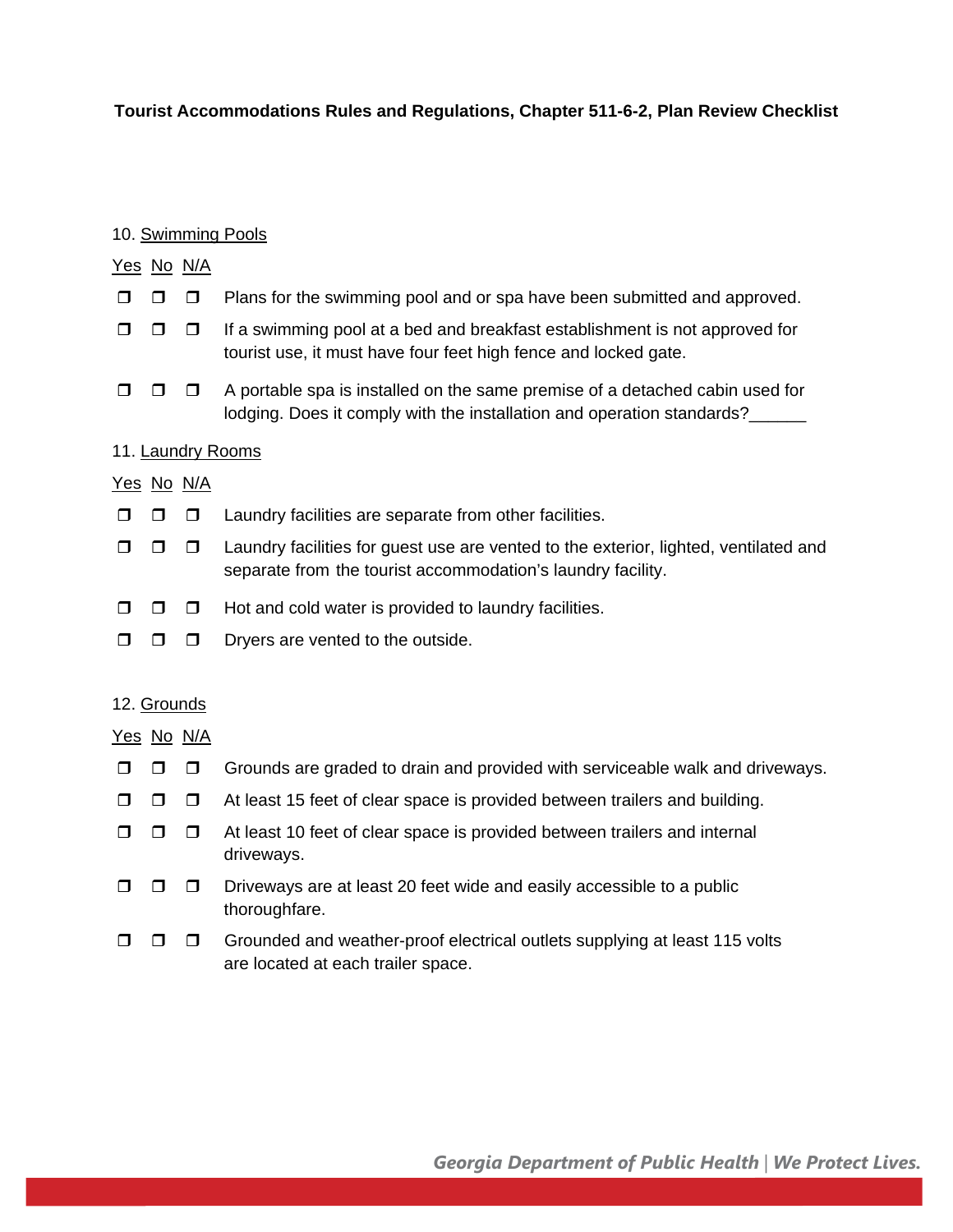#### 10. Swimming Pools

# Yes No N/A  $\Box$   $\Box$  Plans for the swimming pool and or spa have been submitted and approved.  $\Box$   $\Box$  If a swimming pool at a bed and breakfast establishment is not approved for tourist use, it must have four feet high fence and locked gate.  $\Box$   $\Box$  A portable spa is installed on the same premise of a detached cabin used for lodging. Does it comply with the installation and operation standards?\_\_\_\_\_\_ 11. Laundry Rooms Yes No N/A  $\Box$   $\Box$   $\Box$  Laundry facilities are separate from other facilities.  $\Box$   $\Box$   $\Box$  Laundry facilities for guest use are vented to the exterior, lighted, ventilated and separate from the tourist accommodation's laundry facility.  $\Box$   $\Box$   $\Box$  Hot and cold water is provided to laundry facilities.  $\Box$   $\Box$   $\Box$  Dryers are vented to the outside. 12. Grounds

Yes No N/A

- $\Box$   $\Box$  Grounds are graded to drain and provided with serviceable walk and driveways.
- $\Box$   $\Box$  At least 15 feet of clear space is provided between trailers and building.
- $\Box$   $\Box$  At least 10 feet of clear space is provided between trailers and internal driveways.
- $\Box$   $\Box$  Driveways are at least 20 feet wide and easily accessible to a public thoroughfare.
- $\Box$   $\Box$   $\Box$  Grounded and weather-proof electrical outlets supplying at least 115 volts are located at each trailer space.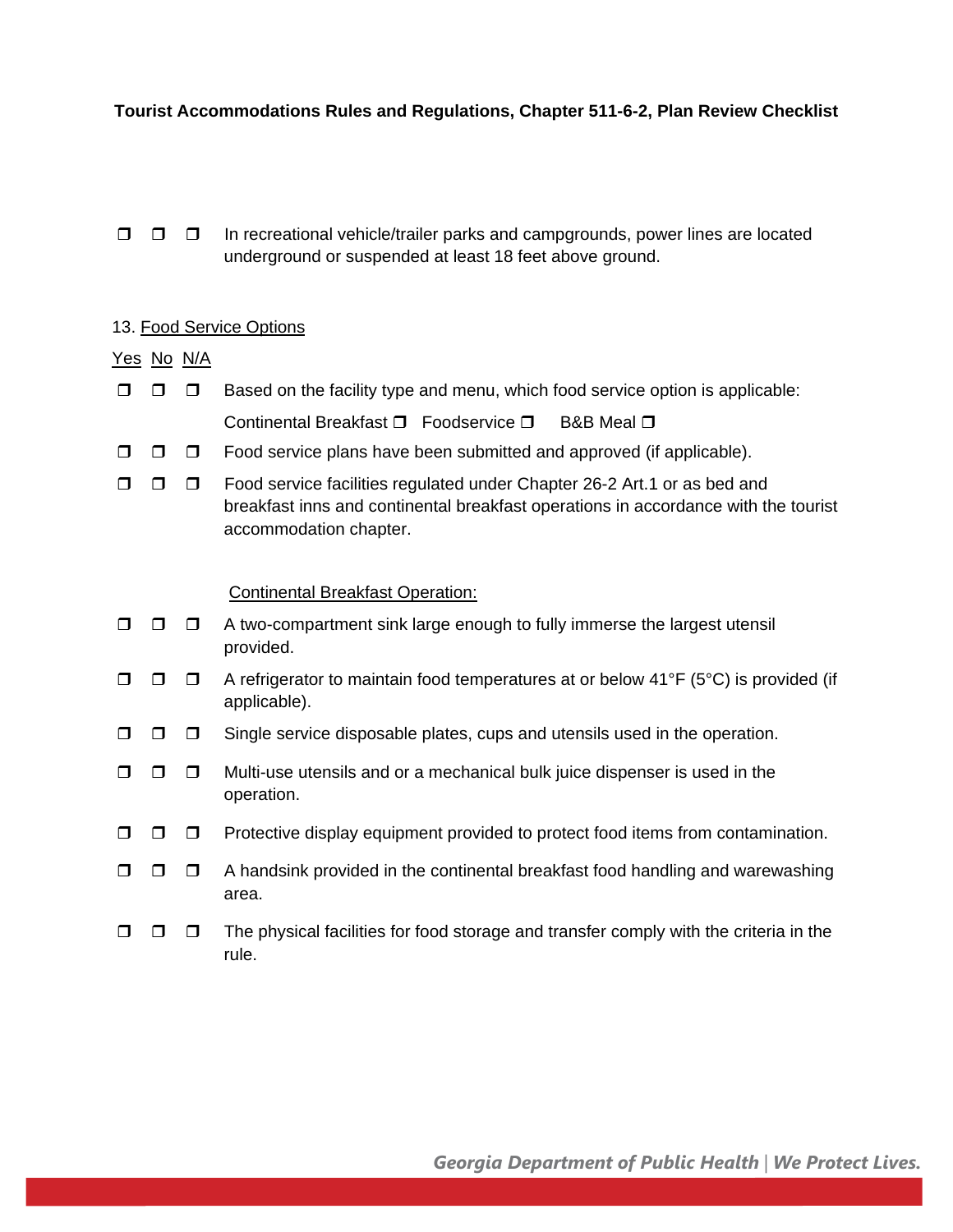$\Box$   $\Box$  In recreational vehicle/trailer parks and campgrounds, power lines are located underground or suspended at least 18 feet above ground.

#### 13. Food Service Options

#### Yes No N/A

- $\Box$   $\Box$  Based on the facility type and menu, which food service option is applicable: Continental Breakfast  $\Box$  Foodservice  $\Box$  B&B Meal  $\Box$
- $\Box$   $\Box$  Food service plans have been submitted and approved (if applicable).
- $\Box$   $\Box$  Food service facilities regulated under Chapter 26-2 Art.1 or as bed and breakfast inns and continental breakfast operations in accordance with the tourist accommodation chapter.

#### Continental Breakfast Operation:

- $\Box$   $\Box$  A two-compartment sink large enough to fully immerse the largest utensil provided.
- $\Box$   $\Box$  A refrigerator to maintain food temperatures at or below 41°F (5°C) is provided (if applicable).
- Single service disposable plates, cups and utensils used in the operation.
- $\Box$   $\Box$  Multi-use utensils and or a mechanical bulk juice dispenser is used in the operation.
- **P Protective display equipment provided to protect food items from contamination.**
- $\Box$   $\Box$  A handsink provided in the continental breakfast food handling and warewashing area.
- $\Box$   $\Box$  The physical facilities for food storage and transfer comply with the criteria in the rule.